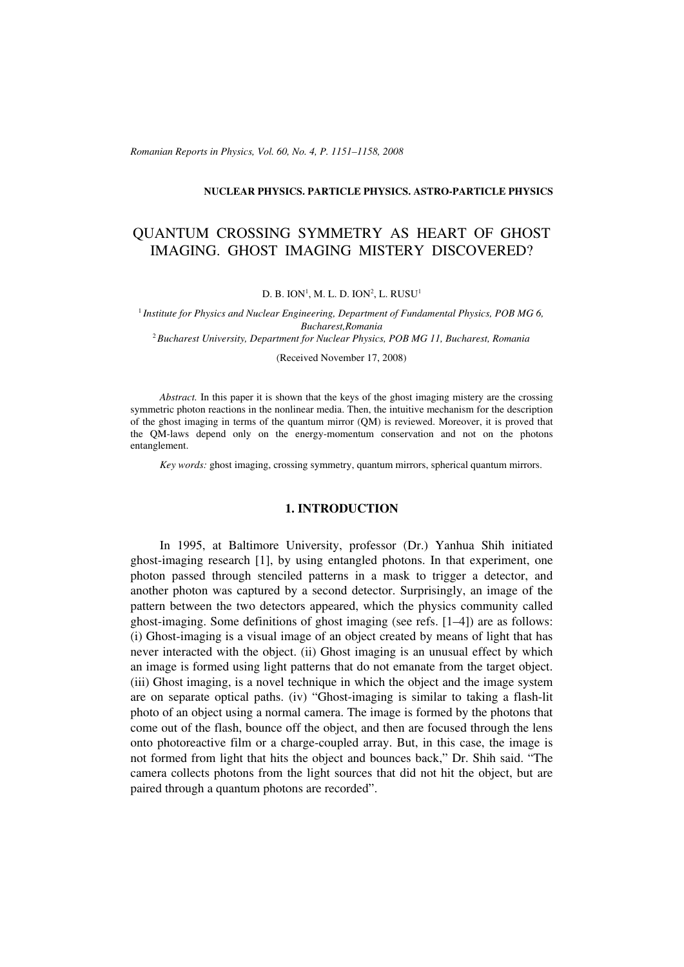*Romanian Reports in Physics, Vol. 60, No. 4, P. 1151–1158, 2008*

#### **NUCLEAR PHYSICS. PARTICLE PHYSICS. ASTRO-PARTICLE PHYSICS**

# QUANTUM CROSSING SYMMETRY AS HEART OF GHOST IMAGING. GHOST IMAGING MISTERY DISCOVERED?

#### D. B. ION<sup>1</sup>, M. L. D. ION<sup>2</sup>, L. RUSU<sup>1</sup>

<sup>1</sup> *Institute for Physics and Nuclear Engineering, Department of Fundamental Physics, POB MG 6, Bucharest,Romania* <sup>2</sup> *Bucharest University, Department for Nuclear Physics, POB MG 11, Bucharest, Romania*

(Received November 17, 2008)

*Abstract.* In this paper it is shown that the keys of the ghost imaging mistery are the crossing symmetric photon reactions in the nonlinear media. Then, the intuitive mechanism for the description of the ghost imaging in terms of the quantum mirror (QM) is reviewed. Moreover, it is proved that the QM-laws depend only on the energy-momentum conservation and not on the photons entanglement.

*Key words:* ghost imaging, crossing symmetry, quantum mirrors, spherical quantum mirrors.

### **1. INTRODUCTION**

In 1995, at Baltimore University, professor (Dr.) Yanhua Shih initiated ghost-imaging research [1], by using entangled photons. In that experiment, one photon passed through stenciled patterns in a mask to trigger a detector, and another photon was captured by a second detector. Surprisingly, an image of the pattern between the two detectors appeared, which the physics community called ghost-imaging. Some definitions of ghost imaging (see refs. [1–4]) are as follows: (i) Ghost-imaging is a visual image of an object created by means of light that has never interacted with the object. (ii) Ghost imaging is an unusual effect by which an image is formed using light patterns that do not emanate from the target object. (iii) Ghost imaging, is a novel technique in which the object and the image system are on separate optical paths. (iv) "Ghost-imaging is similar to taking a flash-lit photo of an object using a normal camera. The image is formed by the photons that come out of the flash, bounce off the object, and then are focused through the lens onto photoreactive film or a charge-coupled array. But, in this case, the image is not formed from light that hits the object and bounces back," Dr. Shih said. "The camera collects photons from the light sources that did not hit the object, but are paired through a quantum photons are recorded".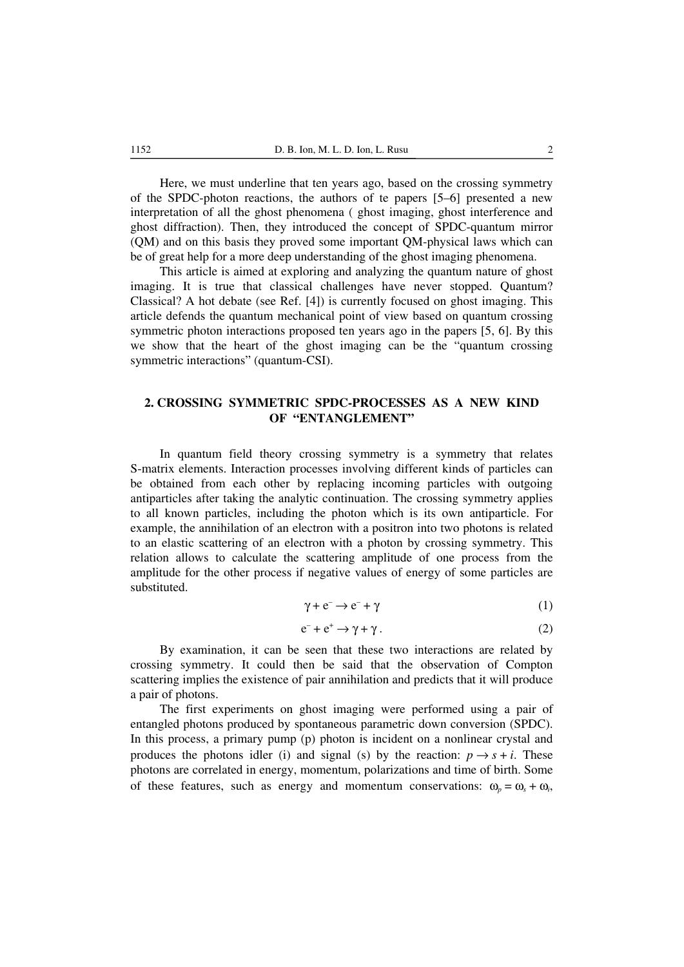Here, we must underline that ten years ago, based on the crossing symmetry of the SPDC-photon reactions, the authors of te papers [5–6] presented a new interpretation of all the ghost phenomena ( ghost imaging, ghost interference and ghost diffraction). Then, they introduced the concept of SPDC-quantum mirror (QM) and on this basis they proved some important QM-physical laws which can be of great help for a more deep understanding of the ghost imaging phenomena.

This article is aimed at exploring and analyzing the quantum nature of ghost imaging. It is true that classical challenges have never stopped. Quantum? Classical? A hot debate (see Ref. [4]) is currently focused on ghost imaging. This article defends the quantum mechanical point of view based on quantum crossing symmetric photon interactions proposed ten years ago in the papers [5, 6]. By this we show that the heart of the ghost imaging can be the "quantum crossing symmetric interactions" (quantum-CSI).

# **2. CROSSING SYMMETRIC SPDC-PROCESSES AS A NEW KIND OF "ENTANGLEMENT"**

In quantum field theory crossing symmetry is a symmetry that relates S-matrix elements. Interaction processes involving different kinds of particles can be obtained from each other by replacing incoming particles with outgoing antiparticles after taking the analytic continuation. The crossing symmetry applies to all known particles, including the photon which is its own antiparticle. For example, the annihilation of an electron with a positron into two photons is related to an elastic scattering of an electron with a photon by crossing symmetry. This relation allows to calculate the scattering amplitude of one process from the amplitude for the other process if negative values of energy of some particles are substituted.

$$
\gamma + e^- \to e^- + \gamma \tag{1}
$$

$$
e^- + e^+ \to \gamma + \gamma \,. \tag{2}
$$

By examination, it can be seen that these two interactions are related by crossing symmetry. It could then be said that the observation of Compton scattering implies the existence of pair annihilation and predicts that it will produce a pair of photons.

The first experiments on ghost imaging were performed using a pair of entangled photons produced by spontaneous parametric down conversion (SPDC). In this process, a primary pump (p) photon is incident on a nonlinear crystal and produces the photons idler (i) and signal (s) by the reaction:  $p \rightarrow s + i$ . These photons are correlated in energy, momentum, polarizations and time of birth. Some of these features, such as energy and momentum conservations:  $\omega_p = \omega_s + \omega_i$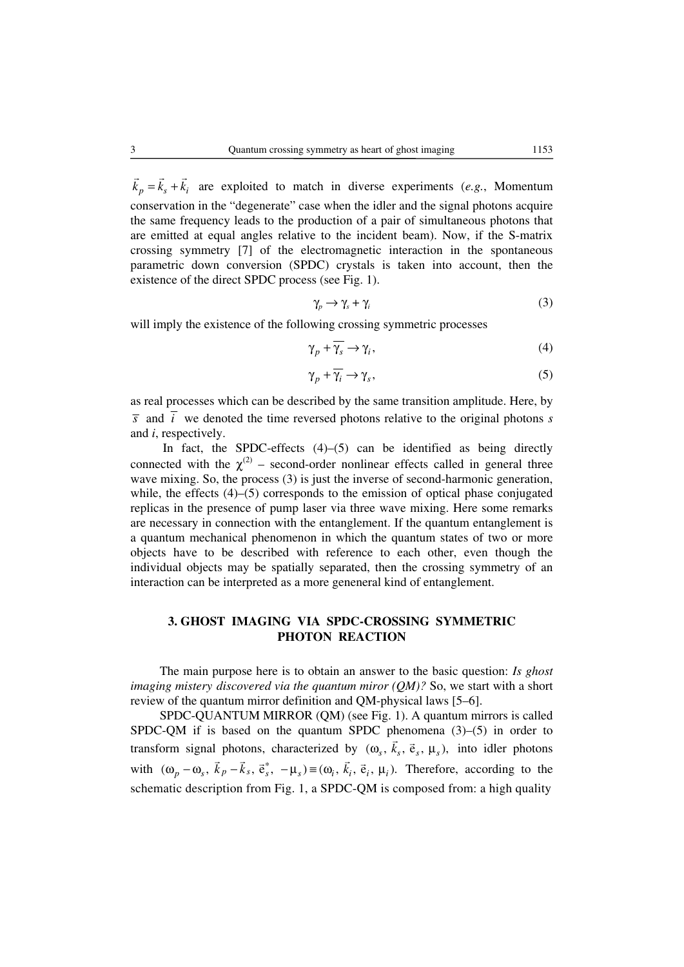$\vec{k}_p = \vec{k}_s + \vec{k}_i$  are exploited to match in diverse experiments (*e.g.*, Momentum conservation in the "degenerate" case when the idler and the signal photons acquire the same frequency leads to the production of a pair of simultaneous photons that are emitted at equal angles relative to the incident beam). Now, if the S-matrix crossing symmetry [7] of the electromagnetic interaction in the spontaneous parametric down conversion (SPDC) crystals is taken into account, then the existence of the direct SPDC process (see Fig. 1).

$$
\gamma_p \to \gamma_s + \gamma_i \tag{3}
$$

will imply the existence of the following crossing symmetric processes

$$
\gamma_p + \overline{\gamma_s} \to \gamma_i,\tag{4}
$$

$$
\gamma_p + \overline{\gamma_i} \to \gamma_s,\tag{5}
$$

as real processes which can be described by the same transition amplitude. Here, by  $\overline{s}$  and  $\overline{i}$  we denoted the time reversed photons relative to the original photons *s* and *i*, respectively.

In fact, the SPDC-effects  $(4)$ – $(5)$  can be identified as being directly connected with the  $\chi^{(2)}$  – second-order nonlinear effects called in general three wave mixing. So, the process (3) is just the inverse of second-harmonic generation, while, the effects (4)–(5) corresponds to the emission of optical phase conjugated replicas in the presence of pump laser via three wave mixing. Here some remarks are necessary in connection with the entanglement. If the quantum entanglement is a quantum mechanical phenomenon in which the quantum states of two or more objects have to be described with reference to each other, even though the individual objects may be spatially separated, then the crossing symmetry of an interaction can be interpreted as a more geneneral kind of entanglement.

## **3. GHOST IMAGING VIA SPDC-CROSSING SYMMETRIC PHOTON REACTION**

The main purpose here is to obtain an answer to the basic question: *Is ghost imaging mistery discovered via the quantum miror (OM)?* So, we start with a short review of the quantum mirror definition and QM-physical laws [5–6].

SPDC-QUANTUM MIRROR (QM) (see Fig. 1). A quantum mirrors is called SPDC-QM if is based on the quantum SPDC phenomena  $(3)$ – $(5)$  in order to transform signal photons, characterized by  $(\omega_s, \vec{k}_s, \vec{e}_s, \mu_s)$ , into idler photons with  $({\omega}_p - {\omega}_s, \vec{k}_p - \vec{k}_s, \vec{e}_s^*, -\mu_s) \equiv ({\omega}_i, \vec{k}_i, \vec{e}_i, \mu_i)$ . Therefore, according to the schematic description from Fig. 1, a SPDC-QM is composed from: a high quality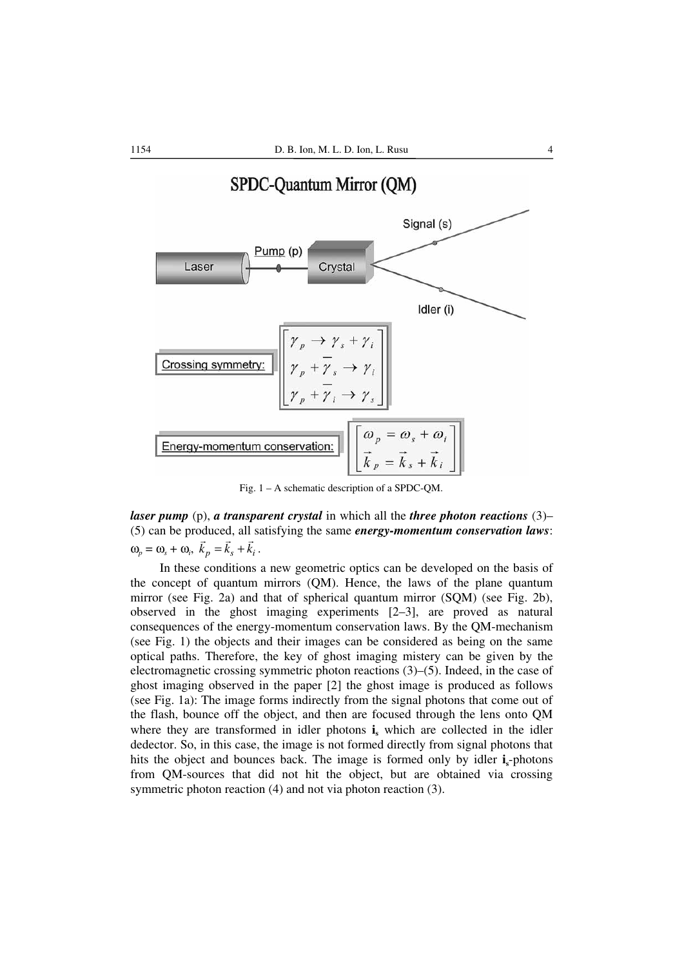

Fig. 1 – A schematic description of a SPDC-QM.

*laser pump* (p), *a transparent crystal* in which all the *three photon reactions* (3)– (5) can be produced, all satisfying the same *energy-momentum conservation laws*:  $\omega_p = \omega_s + \omega_i$ ,  $\vec{k}_p = \vec{k}_s + \vec{k}_i$ .

In these conditions a new geometric optics can be developed on the basis of the concept of quantum mirrors (QM). Hence, the laws of the plane quantum mirror (see Fig. 2a) and that of spherical quantum mirror (SQM) (see Fig. 2b), observed in the ghost imaging experiments [2–3], are proved as natural consequences of the energy-momentum conservation laws. By the QM-mechanism (see Fig. 1) the objects and their images can be considered as being on the same optical paths. Therefore, the key of ghost imaging mistery can be given by the electromagnetic crossing symmetric photon reactions (3)–(5). Indeed, in the case of ghost imaging observed in the paper [2] the ghost image is produced as follows (see Fig. 1a): The image forms indirectly from the signal photons that come out of the flash, bounce off the object, and then are focused through the lens onto QM where they are transformed in idler photons **i**<sub>s</sub> which are collected in the idler dedector. So, in this case, the image is not formed directly from signal photons that hits the object and bounces back. The image is formed only by idler **is**-photons from QM-sources that did not hit the object, but are obtained via crossing symmetric photon reaction (4) and not via photon reaction (3).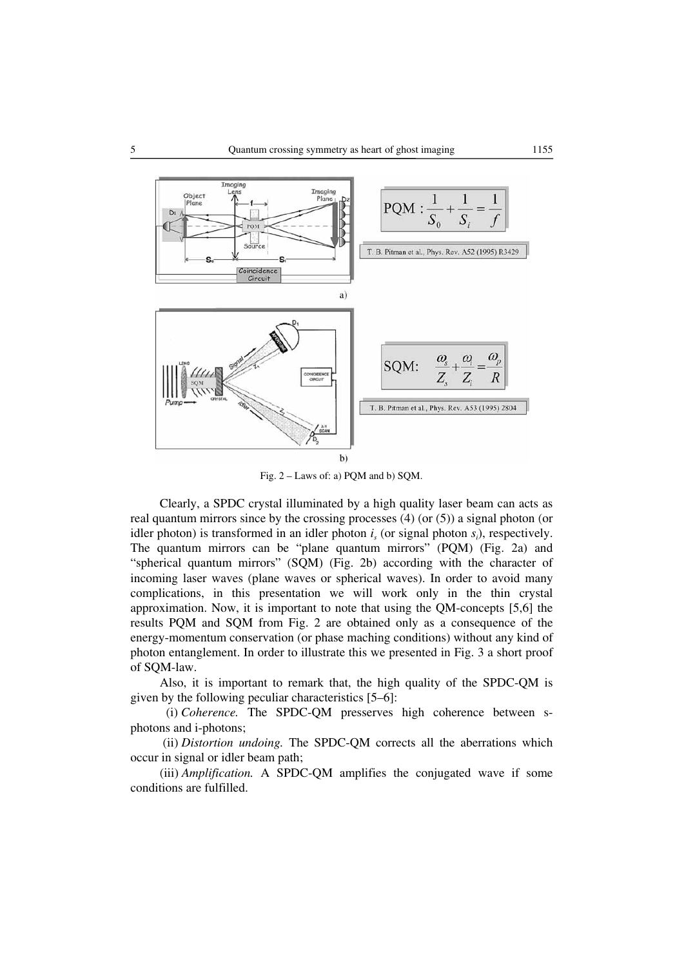

Fig. 2 – Laws of: a) PQM and b) SQM.

Clearly, a SPDC crystal illuminated by a high quality laser beam can acts as real quantum mirrors since by the crossing processes  $(4)$  (or  $(5)$ ) a signal photon (or idler photon) is transformed in an idler photon  $i<sub>s</sub>$  (or signal photon  $s<sub>i</sub>$ ), respectively. The quantum mirrors can be "plane quantum mirrors" (PQM) (Fig. 2a) and "spherical quantum mirrors" (SQM) (Fig. 2b) according with the character of incoming laser waves (plane waves or spherical waves). In order to avoid many complications, in this presentation we will work only in the thin crystal approximation. Now, it is important to note that using the QM-concepts [5,6] the results PQM and SQM from Fig. 2 are obtained only as a consequence of the energy-momentum conservation (or phase maching conditions) without any kind of photon entanglement. In order to illustrate this we presented in Fig. 3 a short proof of SQM-law.

Also, it is important to remark that, the high quality of the SPDC-QM is given by the following peculiar characteristics [5–6]:

 (i) *Coherence.* The SPDC-QM presserves high coherence between sphotons and i-photons;

 (ii) *Distortion undoing.* The SPDC-QM corrects all the aberrations which occur in signal or idler beam path;

(iii) *Amplification.* A SPDC-QM amplifies the conjugated wave if some conditions are fulfilled.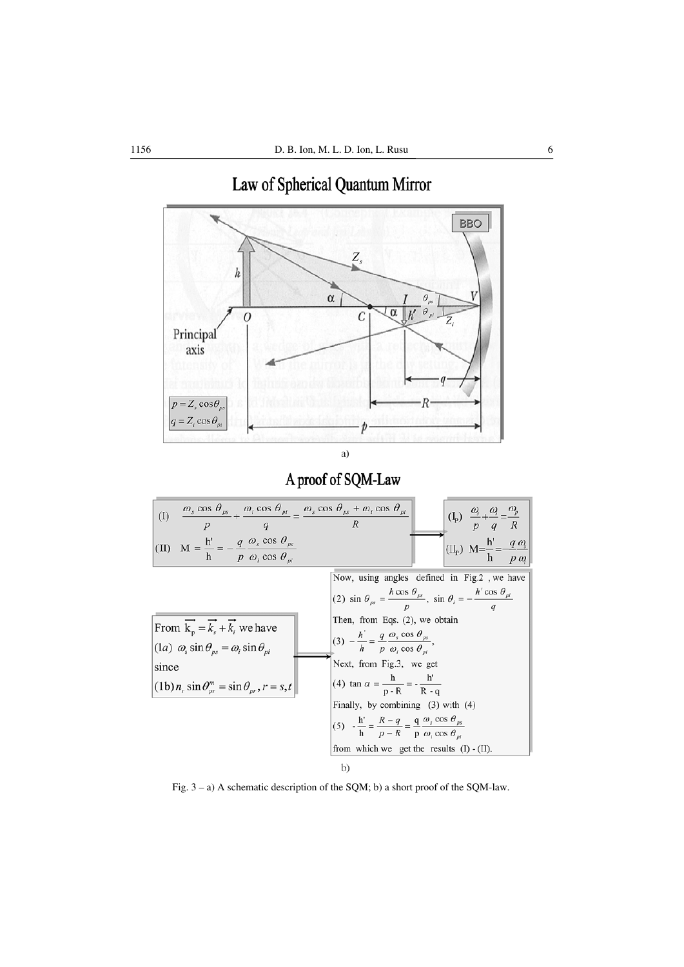# Law of Spherical Quantum Mirror



 $b)$ 

Fig. 3 – a) A schematic description of the SQM; b) a short proof of the SQM-law.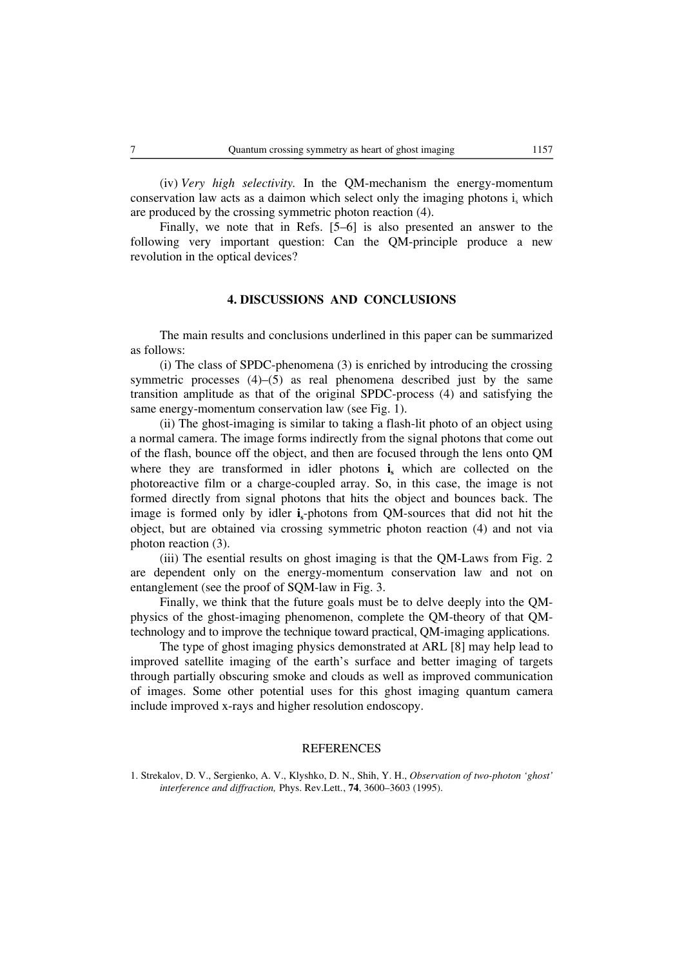(iv) *Very high selectivity.* In the QM-mechanism the energy-momentum conservation law acts as a daimon which select only the imaging photons  $i<sub>s</sub>$  which are produced by the crossing symmetric photon reaction (4).

Finally, we note that in Refs. [5–6] is also presented an answer to the following very important question: Can the QM-principle produce a new revolution in the optical devices?

#### **4. DISCUSSIONS AND CONCLUSIONS**

The main results and conclusions underlined in this paper can be summarized as follows:

(i) The class of SPDC-phenomena (3) is enriched by introducing the crossing symmetric processes (4)–(5) as real phenomena described just by the same transition amplitude as that of the original SPDC-process (4) and satisfying the same energy-momentum conservation law (see Fig. 1).

(ii) The ghost-imaging is similar to taking a flash-lit photo of an object using a normal camera. The image forms indirectly from the signal photons that come out of the flash, bounce off the object, and then are focused through the lens onto QM where they are transformed in idler photons **i**<sub>s</sub> which are collected on the photoreactive film or a charge-coupled array. So, in this case, the image is not formed directly from signal photons that hits the object and bounces back. The image is formed only by idler **is**-photons from QM-sources that did not hit the object, but are obtained via crossing symmetric photon reaction (4) and not via photon reaction (3).

(iii) The esential results on ghost imaging is that the QM-Laws from Fig. 2 are dependent only on the energy-momentum conservation law and not on entanglement (see the proof of SQM-law in Fig. 3.

Finally, we think that the future goals must be to delve deeply into the QMphysics of the ghost-imaging phenomenon, complete the QM-theory of that QMtechnology and to improve the technique toward practical, QM-imaging applications.

The type of ghost imaging physics demonstrated at ARL [8] may help lead to improved satellite imaging of the earth's surface and better imaging of targets through partially obscuring smoke and clouds as well as improved communication of images. Some other potential uses for this ghost imaging quantum camera include improved x-rays and higher resolution endoscopy.

#### REFERENCES

1. Strekalov, D. V., Sergienko, A. V., Klyshko, D. N., Shih, Y. H., *Observation of two-photon 'ghost' interference and diffraction,* Phys. Rev.Lett*.*, **74**, 3600–3603 (1995).